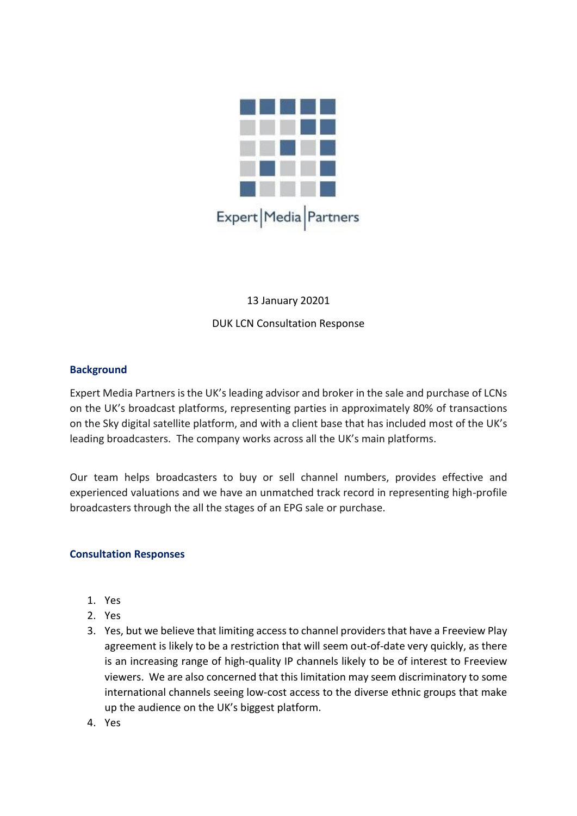

## 13 January 20201 DUK LCN Consultation Response

## **Background**

Expert Media Partners is the UK's leading advisor and broker in the sale and purchase of LCNs on the UK's broadcast platforms, representing parties in approximately 80% of transactions on the Sky digital satellite platform, and with a client base that has included most of the UK's leading broadcasters. The company works across all the UK's main platforms.

Our team helps broadcasters to buy or sell channel numbers, provides effective and experienced valuations and we have an unmatched track record in representing high-profile broadcasters through the all the stages of an EPG sale or purchase.

## **Consultation Responses**

- 1. Yes
- 2. Yes
- 3. Yes, but we believe that limiting access to channel providers that have a Freeview Play agreement is likely to be a restriction that will seem out-of-date very quickly, as there is an increasing range of high-quality IP channels likely to be of interest to Freeview viewers. We are also concerned that this limitation may seem discriminatory to some international channels seeing low-cost access to the diverse ethnic groups that make up the audience on the UK's biggest platform.
- 4. Yes